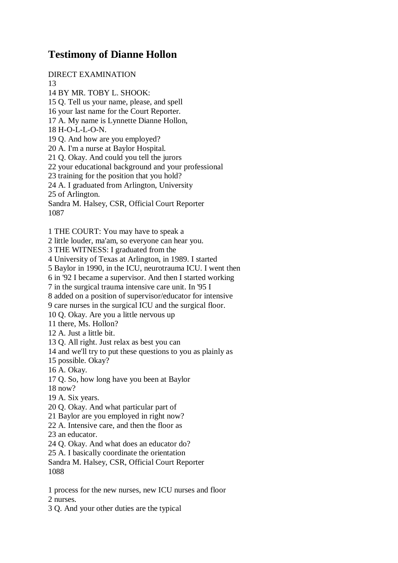## **Testimony of Dianne Hollon**

DIRECT EXAMINATION 13 14 BY MR. TOBY L. SHOOK: 15 Q. Tell us your name, please, and spell 16 your last name for the Court Reporter. 17 A. My name is Lynnette Dianne Hollon, 18 H-O-L-L-O-N. 19 Q. And how are you employed? 20 A. I'm a nurse at Baylor Hospital. 21 Q. Okay. And could you tell the jurors 22 your educational background and your professional 23 training for the position that you hold? 24 A. I graduated from Arlington, University 25 of Arlington. Sandra M. Halsey, CSR, Official Court Reporter 1087 1 THE COURT: You may have to speak a 2 little louder, ma'am, so everyone can hear you. 3 THE WITNESS: I graduated from the 4 University of Texas at Arlington, in 1989. I started 5 Baylor in 1990, in the ICU, neurotrauma ICU. I went then 6 in '92 I became a supervisor. And then I started working 7 in the surgical trauma intensive care unit. In '95 I 8 added on a position of supervisor/educator for intensive 9 care nurses in the surgical ICU and the surgical floor. 10 Q. Okay. Are you a little nervous up 11 there, Ms. Hollon? 12 A. Just a little bit. 13 Q. All right. Just relax as best you can 14 and we'll try to put these questions to you as plainly as 15 possible. Okay? 16 A. Okay. 17 Q. So, how long have you been at Baylor 18 now? 19 A. Six years. 20 Q. Okay. And what particular part of 21 Baylor are you employed in right now? 22 A. Intensive care, and then the floor as

23 an educator.

- 24 Q. Okay. And what does an educator do?
- 25 A. I basically coordinate the orientation

Sandra M. Halsey, CSR, Official Court Reporter 1088

1 process for the new nurses, new ICU nurses and floor 2 nurses.

3 Q. And your other duties are the typical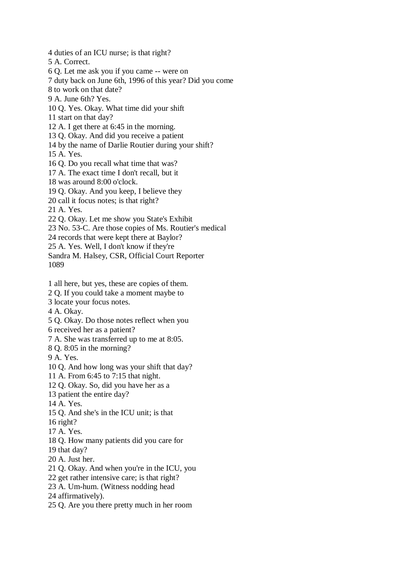4 duties of an ICU nurse; is that right?

5 A. Correct.

6 Q. Let me ask you if you came -- were on

7 duty back on June 6th, 1996 of this year? Did you come

8 to work on that date?

9 A. June 6th? Yes.

10 Q. Yes. Okay. What time did your shift

11 start on that day?

12 A. I get there at 6:45 in the morning.

13 Q. Okay. And did you receive a patient

14 by the name of Darlie Routier during your shift?

15 A. Yes.

16 Q. Do you recall what time that was?

17 A. The exact time I don't recall, but it

18 was around 8:00 o'clock.

19 Q. Okay. And you keep, I believe they

20 call it focus notes; is that right?

21 A. Yes.

22 Q. Okay. Let me show you State's Exhibit

23 No. 53-C. Are those copies of Ms. Routier's medical

24 records that were kept there at Baylor?

25 A. Yes. Well, I don't know if they're

Sandra M. Halsey, CSR, Official Court Reporter

1089

1 all here, but yes, these are copies of them.

2 Q. If you could take a moment maybe to

3 locate your focus notes.

4 A. Okay.

5 Q. Okay. Do those notes reflect when you

6 received her as a patient?

7 A. She was transferred up to me at 8:05.

8 Q. 8:05 in the morning?

9 A. Yes.

10 Q. And how long was your shift that day?

11 A. From 6:45 to 7:15 that night.

12 Q. Okay. So, did you have her as a

13 patient the entire day?

14 A. Yes.

15 Q. And she's in the ICU unit; is that

16 right?

17 A. Yes.

18 Q. How many patients did you care for

19 that day?

20 A. Just her.

21 Q. Okay. And when you're in the ICU, you

22 get rather intensive care; is that right?

23 A. Um-hum. (Witness nodding head

24 affirmatively).

25 Q. Are you there pretty much in her room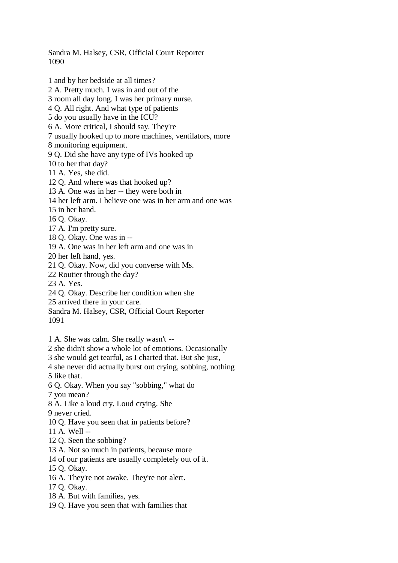Sandra M. Halsey, CSR, Official Court Reporter 1090

- 1 and by her bedside at all times? 2 A. Pretty much. I was in and out of the 3 room all day long. I was her primary nurse. 4 Q. All right. And what type of patients 5 do you usually have in the ICU? 6 A. More critical, I should say. They're 7 usually hooked up to more machines, ventilators, more 8 monitoring equipment. 9 Q. Did she have any type of IVs hooked up 10 to her that day? 11 A. Yes, she did. 12 Q. And where was that hooked up? 13 A. One was in her -- they were both in 14 her left arm. I believe one was in her arm and one was 15 in her hand. 16 Q. Okay. 17 A. I'm pretty sure. 18 Q. Okay. One was in -- 19 A. One was in her left arm and one was in 20 her left hand, yes. 21 Q. Okay. Now, did you converse with Ms. 22 Routier through the day? 23 A. Yes. 24 Q. Okay. Describe her condition when she 25 arrived there in your care. Sandra M. Halsey, CSR, Official Court Reporter 1091 1 A. She was calm. She really wasn't -- 2 she didn't show a whole lot of emotions. Occasionally 3 she would get tearful, as I charted that. But she just, 4 she never did actually burst out crying, sobbing, nothing 5 like that. 6 Q. Okay. When you say "sobbing," what do 7 you mean? 8 A. Like a loud cry. Loud crying. She 9 never cried. 10 Q. Have you seen that in patients before? 11 A. Well -- 12 Q. Seen the sobbing?
- 13 A. Not so much in patients, because more
- 14 of our patients are usually completely out of it.
- 15 Q. Okay.
- 16 A. They're not awake. They're not alert.
- 17 Q. Okay.
- 18 A. But with families, yes.
- 19 Q. Have you seen that with families that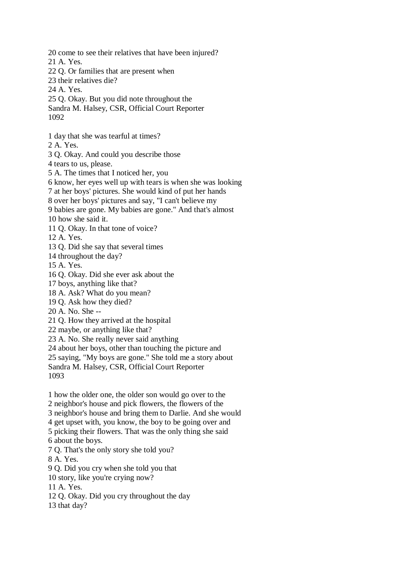20 come to see their relatives that have been injured? 21 A. Yes. 22 Q. Or families that are present when 23 their relatives die? 24 A. Yes. 25 Q. Okay. But you did note throughout the Sandra M. Halsey, CSR, Official Court Reporter 1092 1 day that she was tearful at times? 2 A. Yes. 3 Q. Okay. And could you describe those 4 tears to us, please. 5 A. The times that I noticed her, you 6 know, her eyes well up with tears is when she was looking 7 at her boys' pictures. She would kind of put her hands 8 over her boys' pictures and say, "I can't believe my 9 babies are gone. My babies are gone." And that's almost 10 how she said it. 11 Q. Okay. In that tone of voice? 12 A. Yes. 13 Q. Did she say that several times 14 throughout the day? 15 A. Yes. 16 Q. Okay. Did she ever ask about the 17 boys, anything like that? 18 A. Ask? What do you mean? 19 Q. Ask how they died? 20 A. No. She -- 21 Q. How they arrived at the hospital 22 maybe, or anything like that? 23 A. No. She really never said anything 24 about her boys, other than touching the picture and 25 saying, "My boys are gone." She told me a story about Sandra M. Halsey, CSR, Official Court Reporter 1093 1 how the older one, the older son would go over to the 2 neighbor's house and pick flowers, the flowers of the 3 neighbor's house and bring them to Darlie. And she would 4 get upset with, you know, the boy to be going over and 5 picking their flowers. That was the only thing she said 6 about the boys. 7 Q. That's the only story she told you?

8 A. Yes.

9 Q. Did you cry when she told you that

10 story, like you're crying now?

11 A. Yes.

12 Q. Okay. Did you cry throughout the day

13 that day?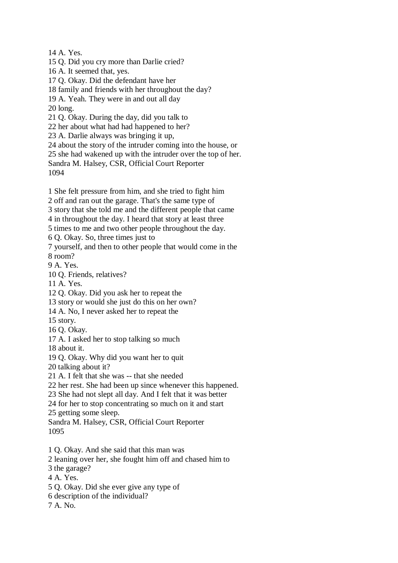14 A. Yes.

15 Q. Did you cry more than Darlie cried?

16 A. It seemed that, yes.

17 Q. Okay. Did the defendant have her

18 family and friends with her throughout the day?

19 A. Yeah. They were in and out all day

20 long.

21 Q. Okay. During the day, did you talk to

22 her about what had had happened to her?

23 A. Darlie always was bringing it up,

24 about the story of the intruder coming into the house, or

25 she had wakened up with the intruder over the top of her.

Sandra M. Halsey, CSR, Official Court Reporter 1094

1 She felt pressure from him, and she tried to fight him

2 off and ran out the garage. That's the same type of

3 story that she told me and the different people that came

4 in throughout the day. I heard that story at least three

5 times to me and two other people throughout the day.

6 Q. Okay. So, three times just to

7 yourself, and then to other people that would come in the 8 room?

9 A. Yes.

10 Q. Friends, relatives?

11 A. Yes.

12 Q. Okay. Did you ask her to repeat the

13 story or would she just do this on her own?

14 A. No, I never asked her to repeat the

15 story.

16 Q. Okay.

17 A. I asked her to stop talking so much

18 about it.

19 Q. Okay. Why did you want her to quit

20 talking about it?

21 A. I felt that she was -- that she needed

22 her rest. She had been up since whenever this happened.

23 She had not slept all day. And I felt that it was better

24 for her to stop concentrating so much on it and start

25 getting some sleep.

Sandra M. Halsey, CSR, Official Court Reporter 1095

1 Q. Okay. And she said that this man was

2 leaning over her, she fought him off and chased him to

3 the garage?

4 A. Yes.

- 5 Q. Okay. Did she ever give any type of
- 6 description of the individual?

7 A. No.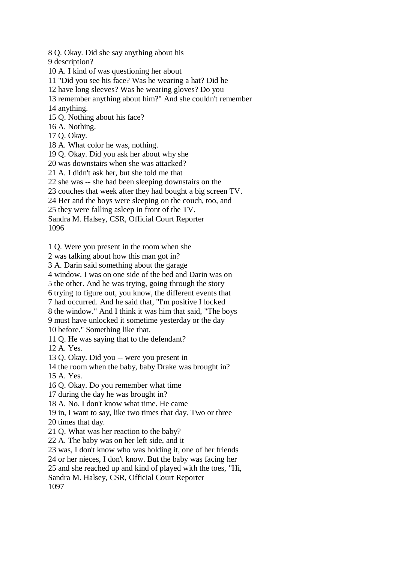12 have long sleeves? Was he wearing gloves? Do you 13 remember anything about him?" And she couldn't remember 14 anything. 15 Q. Nothing about his face? 16 A. Nothing. 17 Q. Okay. 18 A. What color he was, nothing. 19 Q. Okay. Did you ask her about why she 20 was downstairs when she was attacked? 21 A. I didn't ask her, but she told me that 22 she was -- she had been sleeping downstairs on the 23 couches that week after they had bought a big screen TV. 24 Her and the boys were sleeping on the couch, too, and 25 they were falling asleep in front of the TV. Sandra M. Halsey, CSR, Official Court Reporter 1096 1 Q. Were you present in the room when she 2 was talking about how this man got in? 3 A. Darin said something about the garage 4 window. I was on one side of the bed and Darin was on 5 the other. And he was trying, going through the story 6 trying to figure out, you know, the different events that 7 had occurred. And he said that, "I'm positive I locked 8 the window." And I think it was him that said, "The boys 9 must have unlocked it sometime yesterday or the day 10 before." Something like that. 11 Q. He was saying that to the defendant? 12 A. Yes. 13 Q. Okay. Did you -- were you present in 14 the room when the baby, baby Drake was brought in? 15 A. Yes. 16 Q. Okay. Do you remember what time 17 during the day he was brought in? 18 A. No. I don't know what time. He came 19 in, I want to say, like two times that day. Two or three 20 times that day. 21 Q. What was her reaction to the baby? 22 A. The baby was on her left side, and it 23 was, I don't know who was holding it, one of her friends 24 or her nieces, I don't know. But the baby was facing her 25 and she reached up and kind of played with the toes, "Hi, Sandra M. Halsey, CSR, Official Court Reporter 1097

8 Q. Okay. Did she say anything about his

10 A. I kind of was questioning her about

11 "Did you see his face? Was he wearing a hat? Did he

9 description?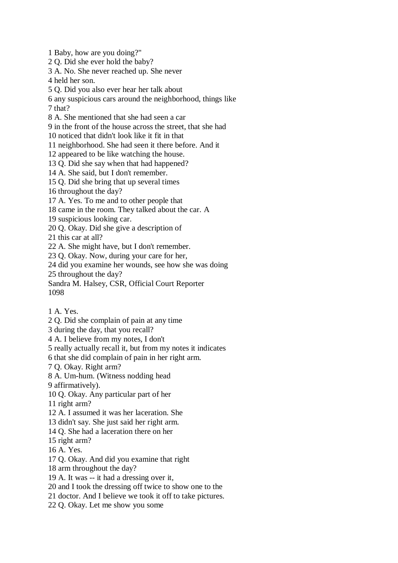1 Baby, how are you doing?" 2 Q. Did she ever hold the baby? 3 A. No. She never reached up. She never 4 held her son. 5 Q. Did you also ever hear her talk about 6 any suspicious cars around the neighborhood, things like 7 that? 8 A. She mentioned that she had seen a car 9 in the front of the house across the street, that she had 10 noticed that didn't look like it fit in that 11 neighborhood. She had seen it there before. And it 12 appeared to be like watching the house. 13 Q. Did she say when that had happened? 14 A. She said, but I don't remember. 15 Q. Did she bring that up several times 16 throughout the day? 17 A. Yes. To me and to other people that 18 came in the room. They talked about the car. A 19 suspicious looking car. 20 Q. Okay. Did she give a description of 21 this car at all? 22 A. She might have, but I don't remember. 23 Q. Okay. Now, during your care for her, 24 did you examine her wounds, see how she was doing 25 throughout the day? Sandra M. Halsey, CSR, Official Court Reporter 1098 1 A. Yes. 2 Q. Did she complain of pain at any time 3 during the day, that you recall? 4 A. I believe from my notes, I don't 5 really actually recall it, but from my notes it indicates 6 that she did complain of pain in her right arm. 7 Q. Okay. Right arm? 8 A. Um-hum. (Witness nodding head 9 affirmatively). 10 Q. Okay. Any particular part of her 11 right arm?

- 12 A. I assumed it was her laceration. She
- 13 didn't say. She just said her right arm.
- 14 Q. She had a laceration there on her
- 15 right arm?
- 16 A. Yes.
- 17 Q. Okay. And did you examine that right
- 18 arm throughout the day?
- 19 A. It was -- it had a dressing over it,
- 20 and I took the dressing off twice to show one to the
- 21 doctor. And I believe we took it off to take pictures.
- 22 Q. Okay. Let me show you some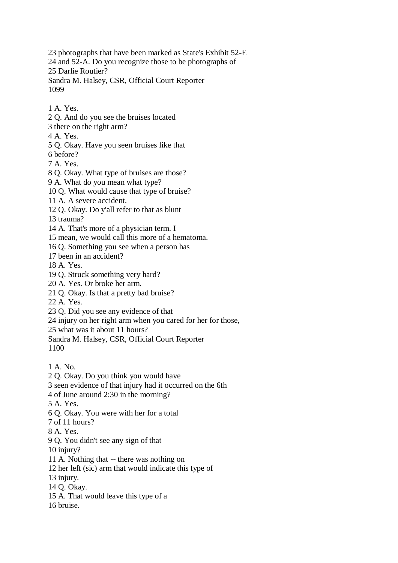23 photographs that have been marked as State's Exhibit 52-E 24 and 52-A. Do you recognize those to be photographs of 25 Darlie Routier? Sandra M. Halsey, CSR, Official Court Reporter 1099

- 2 Q. And do you see the bruises located
- 3 there on the right arm?
- 4 A. Yes.
- 5 Q. Okay. Have you seen bruises like that
- 6 before?
- 7 A. Yes.
- 8 Q. Okay. What type of bruises are those?
- 9 A. What do you mean what type?
- 10 Q. What would cause that type of bruise?
- 11 A. A severe accident.
- 12 Q. Okay. Do y'all refer to that as blunt
- 13 trauma?
- 14 A. That's more of a physician term. I
- 15 mean, we would call this more of a hematoma.
- 16 Q. Something you see when a person has
- 17 been in an accident?
- 18 A. Yes.
- 19 Q. Struck something very hard?
- 20 A. Yes. Or broke her arm.
- 21 Q. Okay. Is that a pretty bad bruise?
- 22 A. Yes.
- 23 Q. Did you see any evidence of that
- 24 injury on her right arm when you cared for her for those,
- 25 what was it about 11 hours?
- Sandra M. Halsey, CSR, Official Court Reporter
- 1100
- 1 A. No.
- 2 Q. Okay. Do you think you would have
- 3 seen evidence of that injury had it occurred on the 6th
- 4 of June around 2:30 in the morning?
- 5 A. Yes.
- 6 Q. Okay. You were with her for a total
- 7 of 11 hours?
- 8 A. Yes.
- 9 Q. You didn't see any sign of that
- 10 injury?
- 11 A. Nothing that -- there was nothing on
- 12 her left (sic) arm that would indicate this type of
- 13 injury.
- 14 Q. Okay.
- 15 A. That would leave this type of a
- 16 bruise.

<sup>1</sup> A. Yes.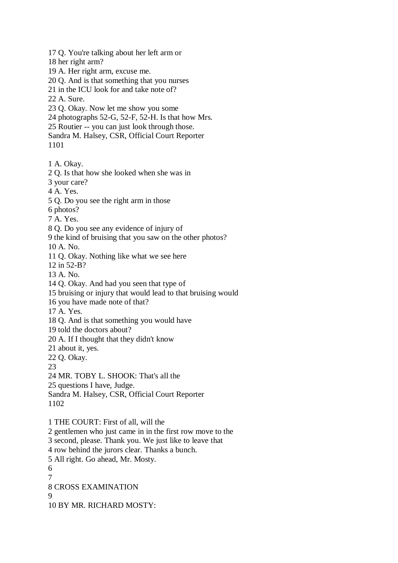17 Q. You're talking about her left arm or 18 her right arm? 19 A. Her right arm, excuse me. 20 Q. And is that something that you nurses 21 in the ICU look for and take note of? 22 A. Sure. 23 Q. Okay. Now let me show you some 24 photographs 52-G, 52-F, 52-H. Is that how Mrs. 25 Routier -- you can just look through those. Sandra M. Halsey, CSR, Official Court Reporter 1101 1 A. Okay. 2 Q. Is that how she looked when she was in 3 your care? 4 A. Yes. 5 Q. Do you see the right arm in those 6 photos? 7 A. Yes. 8 Q. Do you see any evidence of injury of 9 the kind of bruising that you saw on the other photos? 10 A. No. 11 Q. Okay. Nothing like what we see here 12 in 52-B? 13 A. No. 14 Q. Okay. And had you seen that type of 15 bruising or injury that would lead to that bruising would 16 you have made note of that? 17 A. Yes. 18 Q. And is that something you would have 19 told the doctors about? 20 A. If I thought that they didn't know 21 about it, yes. 22 Q. Okay. 23 24 MR. TOBY L. SHOOK: That's all the 25 questions I have, Judge. Sandra M. Halsey, CSR, Official Court Reporter 1102 1 THE COURT: First of all, will the 2 gentlemen who just came in in the first row move to the 3 second, please. Thank you. We just like to leave that 4 row behind the jurors clear. Thanks a bunch. 5 All right. Go ahead, Mr. Mosty. 6 7 8 CROSS EXAMINATION 9 10 BY MR. RICHARD MOSTY: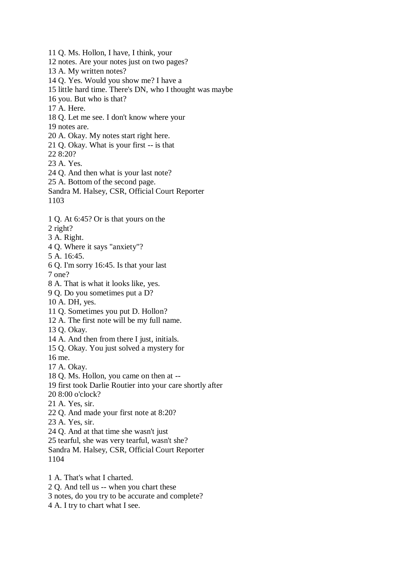11 Q. Ms. Hollon, I have, I think, your 12 notes. Are your notes just on two pages? 13 A. My written notes? 14 Q. Yes. Would you show me? I have a 15 little hard time. There's DN, who I thought was maybe 16 you. But who is that? 17 A. Here. 18 Q. Let me see. I don't know where your 19 notes are. 20 A. Okay. My notes start right here. 21 Q. Okay. What is your first -- is that 22 8:20? 23 A. Yes. 24 Q. And then what is your last note? 25 A. Bottom of the second page. Sandra M. Halsey, CSR, Official Court Reporter 1103 1 Q. At 6:45? Or is that yours on the 2 right? 3 A. Right. 4 Q. Where it says "anxiety"? 5 A. 16:45. 6 Q. I'm sorry 16:45. Is that your last 7 one? 8 A. That is what it looks like, yes. 9 Q. Do you sometimes put a D? 10 A. DH, yes. 11 Q. Sometimes you put D. Hollon? 12 A. The first note will be my full name. 13 Q. Okay. 14 A. And then from there I just, initials. 15 Q. Okay. You just solved a mystery for 16 me. 17 A. Okay. 18 Q. Ms. Hollon, you came on then at -- 19 first took Darlie Routier into your care shortly after 20 8:00 o'clock? 21 A. Yes, sir. 22 Q. And made your first note at 8:20? 23 A. Yes, sir. 24 Q. And at that time she wasn't just 25 tearful, she was very tearful, wasn't she? Sandra M. Halsey, CSR, Official Court Reporter 1104 1 A. That's what I charted.

2 Q. And tell us -- when you chart these

3 notes, do you try to be accurate and complete?

4 A. I try to chart what I see.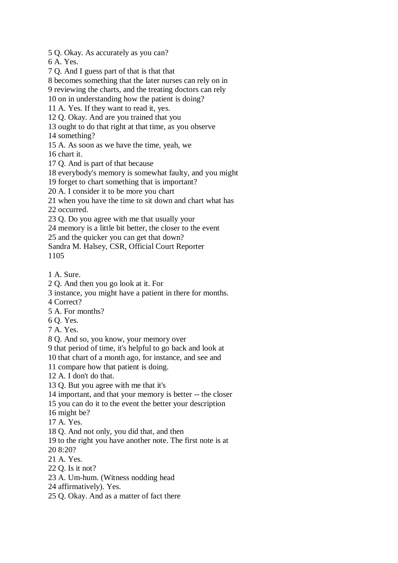5 Q. Okay. As accurately as you can? 6 A. Yes. 7 Q. And I guess part of that is that that 8 becomes something that the later nurses can rely on in 9 reviewing the charts, and the treating doctors can rely 10 on in understanding how the patient is doing? 11 A. Yes. If they want to read it, yes. 12 Q. Okay. And are you trained that you 13 ought to do that right at that time, as you observe 14 something? 15 A. As soon as we have the time, yeah, we 16 chart it. 17 Q. And is part of that because 18 everybody's memory is somewhat faulty, and you might 19 forget to chart something that is important? 20 A. I consider it to be more you chart 21 when you have the time to sit down and chart what has 22 occurred. 23 Q. Do you agree with me that usually your 24 memory is a little bit better, the closer to the event 25 and the quicker you can get that down? Sandra M. Halsey, CSR, Official Court Reporter 1105 1 A. Sure. 2 Q. And then you go look at it. For 3 instance, you might have a patient in there for months. 4 Correct? 5 A. For months? 6 Q. Yes. 7 A. Yes. 8 Q. And so, you know, your memory over 9 that period of time, it's helpful to go back and look at 10 that chart of a month ago, for instance, and see and 11 compare how that patient is doing. 12 A. I don't do that. 13 Q. But you agree with me that it's 14 important, and that your memory is better -- the closer 15 you can do it to the event the better your description 16 might be? 17 A. Yes. 18 Q. And not only, you did that, and then 19 to the right you have another note. The first note is at

20 8:20?

21 A. Yes.

22 Q. Is it not?

23 A. Um-hum. (Witness nodding head

24 affirmatively). Yes.

25 Q. Okay. And as a matter of fact there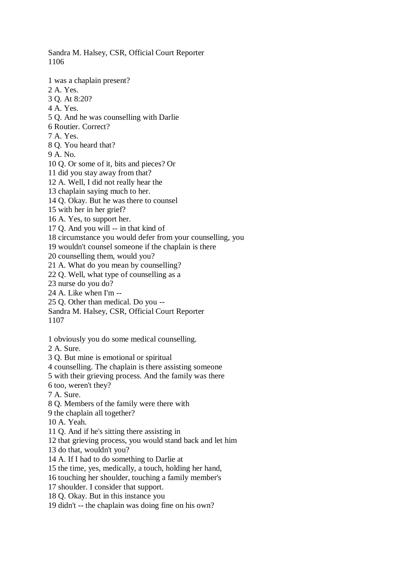Sandra M. Halsey, CSR, Official Court Reporter 1106

1 was a chaplain present?

2 A. Yes. 3 Q. At 8:20? 4 A. Yes. 5 Q. And he was counselling with Darlie 6 Routier. Correct? 7 A. Yes. 8 Q. You heard that? 9 A. No. 10 Q. Or some of it, bits and pieces? Or 11 did you stay away from that? 12 A. Well, I did not really hear the 13 chaplain saying much to her. 14 Q. Okay. But he was there to counsel 15 with her in her grief? 16 A. Yes, to support her. 17 Q. And you will -- in that kind of 18 circumstance you would defer from your counselling, you 19 wouldn't counsel someone if the chaplain is there 20 counselling them, would you? 21 A. What do you mean by counselling? 22 Q. Well, what type of counselling as a 23 nurse do you do? 24 A. Like when I'm -- 25 Q. Other than medical. Do you -- Sandra M. Halsey, CSR, Official Court Reporter 1107 1 obviously you do some medical counselling. 2 A. Sure. 3 Q. But mine is emotional or spiritual 4 counselling. The chaplain is there assisting someone 5 with their grieving process. And the family was there 6 too, weren't they? 7 A. Sure. 8 Q. Members of the family were there with 9 the chaplain all together? 10 A. Yeah. 11 Q. And if he's sitting there assisting in 12 that grieving process, you would stand back and let him 13 do that, wouldn't you? 14 A. If I had to do something to Darlie at 15 the time, yes, medically, a touch, holding her hand,

16 touching her shoulder, touching a family member's

17 shoulder. I consider that support.

18 Q. Okay. But in this instance you

19 didn't -- the chaplain was doing fine on his own?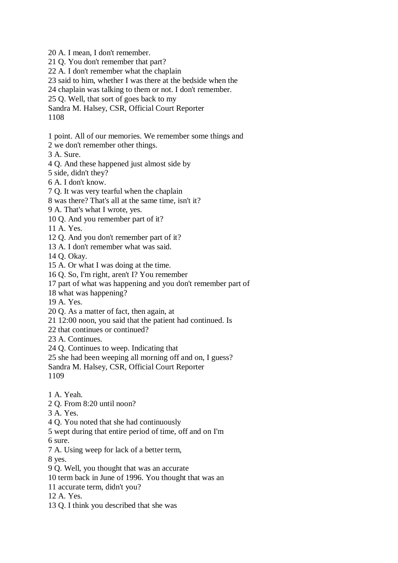20 A. I mean, I don't remember.

- 21 Q. You don't remember that part?
- 22 A. I don't remember what the chaplain
- 23 said to him, whether I was there at the bedside when the
- 24 chaplain was talking to them or not. I don't remember.
- 25 Q. Well, that sort of goes back to my
- Sandra M. Halsey, CSR, Official Court Reporter

1108

1 point. All of our memories. We remember some things and

- 2 we don't remember other things.
- 3 A. Sure.
- 4 Q. And these happened just almost side by
- 5 side, didn't they?
- 6 A. I don't know.
- 7 Q. It was very tearful when the chaplain
- 8 was there? That's all at the same time, isn't it?
- 9 A. That's what I wrote, yes.
- 10 Q. And you remember part of it?
- 11 A. Yes.
- 12 Q. And you don't remember part of it?
- 13 A. I don't remember what was said.
- 14 Q. Okay.
- 15 A. Or what I was doing at the time.
- 16 Q. So, I'm right, aren't I? You remember
- 17 part of what was happening and you don't remember part of
- 18 what was happening?
- 19 A. Yes.
- 20 Q. As a matter of fact, then again, at
- 21 12:00 noon, you said that the patient had continued. Is
- 22 that continues or continued?
- 23 A. Continues.
- 24 Q. Continues to weep. Indicating that
- 25 she had been weeping all morning off and on, I guess?
- Sandra M. Halsey, CSR, Official Court Reporter
- 1109
- 1 A. Yeah.
- 2 Q. From 8:20 until noon?
- 3 A. Yes.
- 4 Q. You noted that she had continuously
- 5 wept during that entire period of time, off and on I'm
- 6 sure.
- 7 A. Using weep for lack of a better term,
- 8 yes.
- 9 Q. Well, you thought that was an accurate
- 10 term back in June of 1996. You thought that was an
- 11 accurate term, didn't you?
- 12 A. Yes.
- 13 Q. I think you described that she was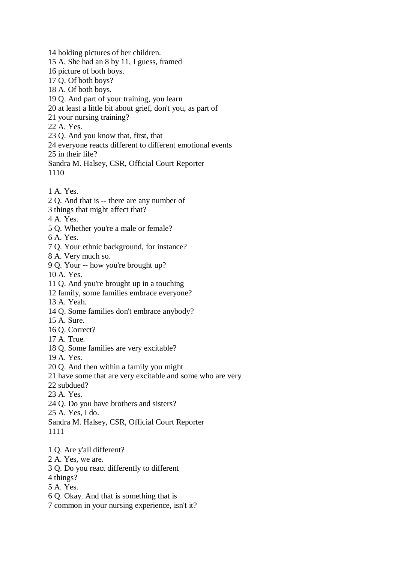14 holding pictures of her children.

15 A. She had an 8 by 11, I guess, framed

16 picture of both boys.

- 17 Q. Of both boys?
- 18 A. Of both boys.

19 Q. And part of your training, you learn

- 20 at least a little bit about grief, don't you, as part of
- 21 your nursing training?

22 A. Yes.

23 Q. And you know that, first, that

24 everyone reacts different to different emotional events

25 in their life?

Sandra M. Halsey, CSR, Official Court Reporter

1110

- 1 A. Yes.
- 2 Q. And that is -- there are any number of
- 3 things that might affect that?
- 4 A. Yes.
- 5 Q. Whether you're a male or female?
- 6 A. Yes.
- 7 Q. Your ethnic background, for instance?
- 8 A. Very much so.
- 9 Q. Your -- how you're brought up?
- 10 A. Yes.
- 11 Q. And you're brought up in a touching
- 12 family, some families embrace everyone?
- 13 A. Yeah.
- 14 Q. Some families don't embrace anybody?
- 15 A. Sure.
- 16 Q. Correct?
- 17 A. True.
- 18 Q. Some families are very excitable?
- 19 A. Yes.
- 20 Q. And then within a family you might
- 21 have some that are very excitable and some who are very
- 22 subdued?
- 23 A. Yes.
- 24 Q. Do you have brothers and sisters?
- 25 A. Yes, I do.
- Sandra M. Halsey, CSR, Official Court Reporter
- 1111
- 1 Q. Are y'all different?
- 2 A. Yes, we are.
- 3 Q. Do you react differently to different
- 4 things?
- 5 A. Yes.
- 6 Q. Okay. And that is something that is
- 7 common in your nursing experience, isn't it?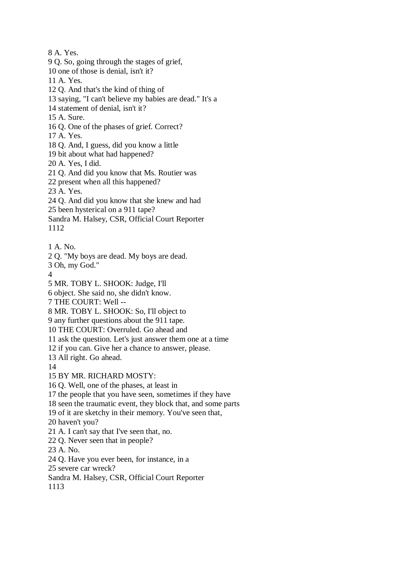8 A. Yes.

- 9 Q. So, going through the stages of grief,
- 10 one of those is denial, isn't it?
- 11 A. Yes.
- 12 Q. And that's the kind of thing of
- 13 saying, "I can't believe my babies are dead." It's a
- 14 statement of denial, isn't it?
- 15 A. Sure.
- 16 Q. One of the phases of grief. Correct?
- 17 A. Yes.
- 18 Q. And, I guess, did you know a little
- 19 bit about what had happened?
- 20 A. Yes, I did.
- 21 Q. And did you know that Ms. Routier was
- 22 present when all this happened?
- 23 A. Yes.
- 24 Q. And did you know that she knew and had
- 25 been hysterical on a 911 tape?
- Sandra M. Halsey, CSR, Official Court Reporter 1112
- $1 A$ . No.
- 2 Q. "My boys are dead. My boys are dead.
- 3 Oh, my God."
- 4
- 5 MR. TOBY L. SHOOK: Judge, I'll
- 6 object. She said no, she didn't know.
- 7 THE COURT: Well --
- 8 MR. TOBY L. SHOOK: So, I'll object to
- 9 any further questions about the 911 tape.
- 10 THE COURT: Overruled. Go ahead and
- 11 ask the question. Let's just answer them one at a time
- 12 if you can. Give her a chance to answer, please.
- 13 All right. Go ahead.
- 14
- 15 BY MR. RICHARD MOSTY:
- 16 Q. Well, one of the phases, at least in
- 17 the people that you have seen, sometimes if they have
- 18 seen the traumatic event, they block that, and some parts
- 19 of it are sketchy in their memory. You've seen that,
- 20 haven't you?
- 21 A. I can't say that I've seen that, no.
- 22 Q. Never seen that in people?
- 23 A. No.
- 24 Q. Have you ever been, for instance, in a
- 25 severe car wreck?
- Sandra M. Halsey, CSR, Official Court Reporter
- 1113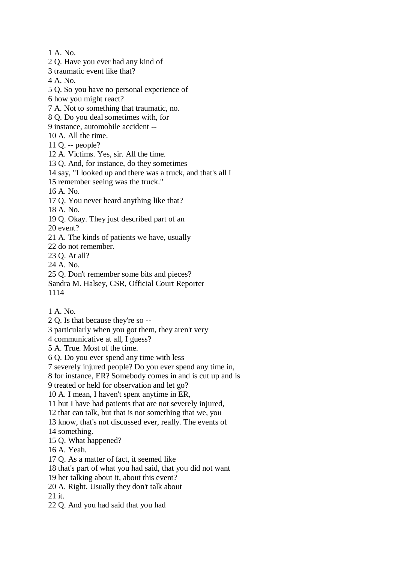1 A. No.

2 Q. Have you ever had any kind of

3 traumatic event like that?

4 A. No.

5 Q. So you have no personal experience of

6 how you might react?

7 A. Not to something that traumatic, no.

8 Q. Do you deal sometimes with, for

9 instance, automobile accident --

10 A. All the time.

11 Q. -- people?

12 A. Victims. Yes, sir. All the time.

13 Q. And, for instance, do they sometimes

14 say, "I looked up and there was a truck, and that's all I

15 remember seeing was the truck."

16 A. No.

17 Q. You never heard anything like that?

18 A. No.

19 Q. Okay. They just described part of an

20 event?

21 A. The kinds of patients we have, usually

22 do not remember.

23 Q. At all?

24 A. No.

25 Q. Don't remember some bits and pieces?

Sandra M. Halsey, CSR, Official Court Reporter 1114

1 A. No.

2 Q. Is that because they're so --

3 particularly when you got them, they aren't very

4 communicative at all, I guess?

5 A. True. Most of the time.

6 Q. Do you ever spend any time with less

7 severely injured people? Do you ever spend any time in,

8 for instance, ER? Somebody comes in and is cut up and is

9 treated or held for observation and let go?

10 A. I mean, I haven't spent anytime in ER,

11 but I have had patients that are not severely injured,

12 that can talk, but that is not something that we, you

13 know, that's not discussed ever, really. The events of

14 something.

15 Q. What happened?

16 A. Yeah.

17 Q. As a matter of fact, it seemed like

18 that's part of what you had said, that you did not want

19 her talking about it, about this event?

20 A. Right. Usually they don't talk about

21 it.

22 Q. And you had said that you had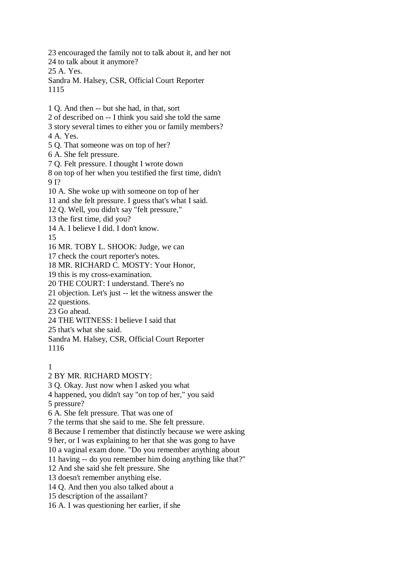23 encouraged the family not to talk about it, and her not 24 to talk about it anymore? 25 A. Yes. Sandra M. Halsey, CSR, Official Court Reporter 1115 1 Q. And then -- but she had, in that, sort

2 of described on -- I think you said she told the same

3 story several times to either you or family members?

4 A. Yes.

5 Q. That someone was on top of her?

6 A. She felt pressure.

7 Q. Felt pressure. I thought I wrote down

8 on top of her when you testified the first time, didn't 9 I?

10 A. She woke up with someone on top of her

11 and she felt pressure. I guess that's what I said.

12 Q. Well, you didn't say "felt pressure,"

13 the first time, did you?

14 A. I believe I did. I don't know.

15

16 MR. TOBY L. SHOOK: Judge, we can

17 check the court reporter's notes.

18 MR. RICHARD C. MOSTY: Your Honor,

19 this is my cross-examination.

20 THE COURT: I understand. There's no

21 objection. Let's just -- let the witness answer the

22 questions.

23 Go ahead.

24 THE WITNESS: I believe I said that

25 that's what she said.

Sandra M. Halsey, CSR, Official Court Reporter

1116

## 1

2 BY MR. RICHARD MOSTY:

3 Q. Okay. Just now when I asked you what

4 happened, you didn't say "on top of her," you said

5 pressure?

6 A. She felt pressure. That was one of

7 the terms that she said to me. She felt pressure.

8 Because I remember that distinctly because we were asking

9 her, or I was explaining to her that she was gong to have

10 a vaginal exam done. "Do you remember anything about

11 having -- do you remember him doing anything like that?"

12 And she said she felt pressure. She

13 doesn't remember anything else.

14 Q. And then you also talked about a

15 description of the assailant?

16 A. I was questioning her earlier, if she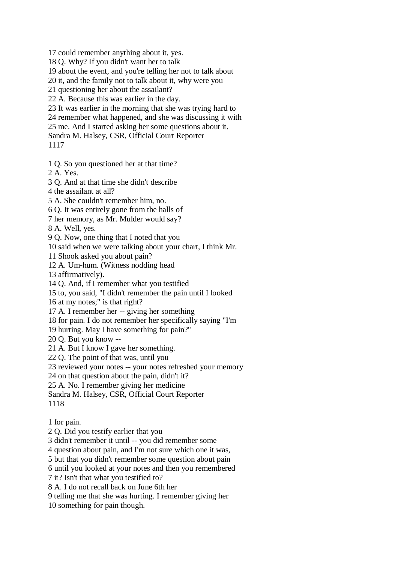17 could remember anything about it, yes.

18 Q. Why? If you didn't want her to talk

19 about the event, and you're telling her not to talk about

20 it, and the family not to talk about it, why were you

21 questioning her about the assailant?

22 A. Because this was earlier in the day.

23 It was earlier in the morning that she was trying hard to

24 remember what happened, and she was discussing it with

25 me. And I started asking her some questions about it.

Sandra M. Halsey, CSR, Official Court Reporter

```
1117
```
1 Q. So you questioned her at that time?

2 A. Yes.

3 Q. And at that time she didn't describe

4 the assailant at all?

5 A. She couldn't remember him, no.

6 Q. It was entirely gone from the halls of

7 her memory, as Mr. Mulder would say?

8 A. Well, yes.

9 Q. Now, one thing that I noted that you

10 said when we were talking about your chart, I think Mr.

11 Shook asked you about pain?

12 A. Um-hum. (Witness nodding head

13 affirmatively).

14 Q. And, if I remember what you testified

15 to, you said, "I didn't remember the pain until I looked

16 at my notes;" is that right?

17 A. I remember her -- giving her something

18 for pain. I do not remember her specifically saying "I'm

19 hurting. May I have something for pain?"

20 Q. But you know --

21 A. But I know I gave her something.

22 Q. The point of that was, until you

23 reviewed your notes -- your notes refreshed your memory

24 on that question about the pain, didn't it?

25 A. No. I remember giving her medicine

Sandra M. Halsey, CSR, Official Court Reporter

1118

1 for pain.

2 Q. Did you testify earlier that you

3 didn't remember it until -- you did remember some

4 question about pain, and I'm not sure which one it was,

5 but that you didn't remember some question about pain

6 until you looked at your notes and then you remembered

7 it? Isn't that what you testified to?

8 A. I do not recall back on June 6th her

9 telling me that she was hurting. I remember giving her

10 something for pain though.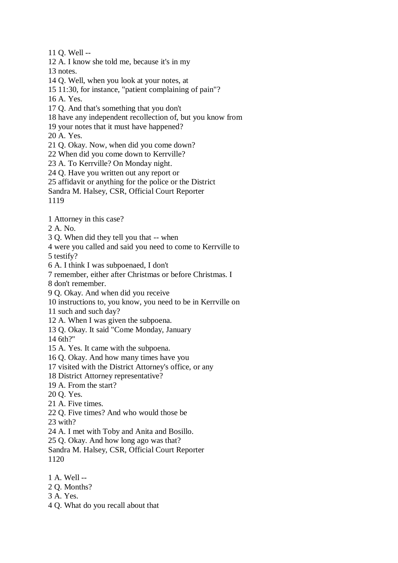11 Q. Well --

- 12 A. I know she told me, because it's in my
- 13 notes.
- 14 Q. Well, when you look at your notes, at
- 15 11:30, for instance, "patient complaining of pain"?
- 16 A. Yes.
- 17 Q. And that's something that you don't
- 18 have any independent recollection of, but you know from
- 19 your notes that it must have happened?
- 20 A. Yes.
- 21 Q. Okay. Now, when did you come down?
- 22 When did you come down to Kerrville?
- 23 A. To Kerrville? On Monday night.
- 24 Q. Have you written out any report or
- 25 affidavit or anything for the police or the District
- Sandra M. Halsey, CSR, Official Court Reporter

1119

- 1 Attorney in this case?
- 2 A. No.
- 3 Q. When did they tell you that -- when
- 4 were you called and said you need to come to Kerrville to 5 testify?
- 6 A. I think I was subpoenaed, I don't
- 7 remember, either after Christmas or before Christmas. I
- 8 don't remember.
- 9 Q. Okay. And when did you receive
- 10 instructions to, you know, you need to be in Kerrville on
- 11 such and such day?
- 12 A. When I was given the subpoena.
- 13 Q. Okay. It said "Come Monday, January

14 6th?"

- 15 A. Yes. It came with the subpoena.
- 16 Q. Okay. And how many times have you
- 17 visited with the District Attorney's office, or any
- 18 District Attorney representative?
- 19 A. From the start?
- 20 Q. Yes.
- 21 A. Five times.
- 22 Q. Five times? And who would those be
- 23 with?
- 24 A. I met with Toby and Anita and Bosillo.
- 25 Q. Okay. And how long ago was that?
- Sandra M. Halsey, CSR, Official Court Reporter 1120
- 1 A. Well --
- 2 Q. Months?
- 3 A. Yes.
- 4 Q. What do you recall about that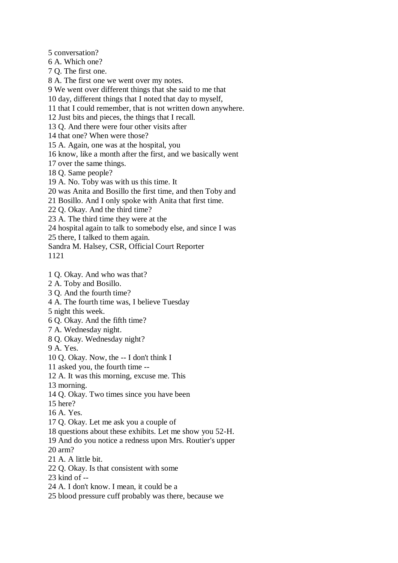5 conversation?

6 A. Which one?

7 Q. The first one.

8 A. The first one we went over my notes.

9 We went over different things that she said to me that

10 day, different things that I noted that day to myself,

11 that I could remember, that is not written down anywhere.

12 Just bits and pieces, the things that I recall.

13 Q. And there were four other visits after

14 that one? When were those?

15 A. Again, one was at the hospital, you

16 know, like a month after the first, and we basically went

17 over the same things.

18 Q. Same people?

19 A. No. Toby was with us this time. It

20 was Anita and Bosillo the first time, and then Toby and

21 Bosillo. And I only spoke with Anita that first time.

22 Q. Okay. And the third time?

23 A. The third time they were at the

24 hospital again to talk to somebody else, and since I was

25 there, I talked to them again.

Sandra M. Halsey, CSR, Official Court Reporter

1121

1 Q. Okay. And who was that?

2 A. Toby and Bosillo.

3 Q. And the fourth time?

4 A. The fourth time was, I believe Tuesday

5 night this week.

6 Q. Okay. And the fifth time?

7 A. Wednesday night.

8 Q. Okay. Wednesday night?

9 A. Yes.

10 Q. Okay. Now, the -- I don't think I

11 asked you, the fourth time --

12 A. It was this morning, excuse me. This

13 morning.

14 Q. Okay. Two times since you have been

15 here?

16 A. Yes.

17 Q. Okay. Let me ask you a couple of

18 questions about these exhibits. Let me show you 52-H.

19 And do you notice a redness upon Mrs. Routier's upper

20 arm?

21 A. A little bit.

22 Q. Okay. Is that consistent with some

23 kind of --

24 A. I don't know. I mean, it could be a

25 blood pressure cuff probably was there, because we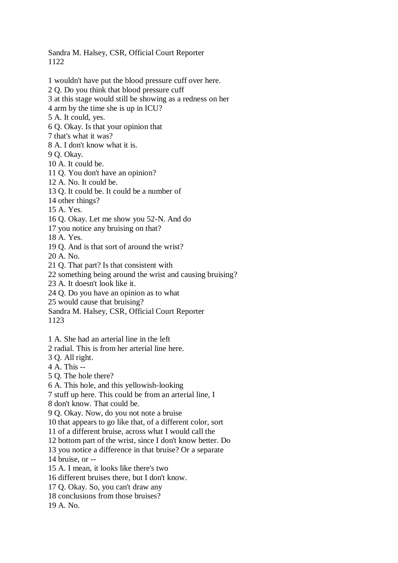Sandra M. Halsey, CSR, Official Court Reporter 1122

1 wouldn't have put the blood pressure cuff over here. 2 Q. Do you think that blood pressure cuff 3 at this stage would still be showing as a redness on her 4 arm by the time she is up in ICU? 5 A. It could, yes. 6 Q. Okay. Is that your opinion that 7 that's what it was? 8 A. I don't know what it is. 9 Q. Okay. 10 A. It could be. 11 Q. You don't have an opinion? 12 A. No. It could be. 13 Q. It could be. It could be a number of 14 other things? 15 A. Yes. 16 Q. Okay. Let me show you 52-N. And do 17 you notice any bruising on that? 18 A. Yes. 19 Q. And is that sort of around the wrist? 20 A. No. 21 Q. That part? Is that consistent with 22 something being around the wrist and causing bruising? 23 A. It doesn't look like it. 24 Q. Do you have an opinion as to what 25 would cause that bruising? Sandra M. Halsey, CSR, Official Court Reporter 1123 1 A. She had an arterial line in the left 2 radial. This is from her arterial line here. 3 Q. All right. 4 A. This -- 5 Q. The hole there? 6 A. This hole, and this yellowish-looking 7 stuff up here. This could be from an arterial line, I 8 don't know. That could be. 9 Q. Okay. Now, do you not note a bruise 10 that appears to go like that, of a different color, sort 11 of a different bruise, across what I would call the

12 bottom part of the wrist, since I don't know better. Do

13 you notice a difference in that bruise? Or a separate

14 bruise, or --

15 A. I mean, it looks like there's two

16 different bruises there, but I don't know.

17 Q. Okay. So, you can't draw any

18 conclusions from those bruises?

19 A. No.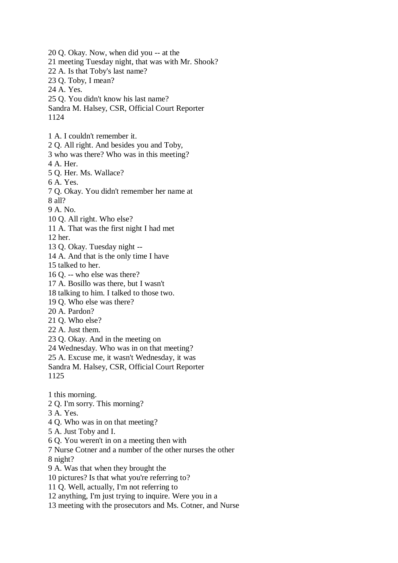20 Q. Okay. Now, when did you -- at the 21 meeting Tuesday night, that was with Mr. Shook? 22 A. Is that Toby's last name? 23 Q. Toby, I mean? 24 A. Yes. 25 Q. You didn't know his last name? Sandra M. Halsey, CSR, Official Court Reporter 1124 1 A. I couldn't remember it. 2 Q. All right. And besides you and Toby, 3 who was there? Who was in this meeting? 4 A. Her. 5 Q. Her. Ms. Wallace? 6 A. Yes. 7 Q. Okay. You didn't remember her name at 8 all? 9 A. No. 10 Q. All right. Who else? 11 A. That was the first night I had met 12 her. 13 Q. Okay. Tuesday night -- 14 A. And that is the only time I have 15 talked to her. 16 Q. -- who else was there? 17 A. Bosillo was there, but I wasn't 18 talking to him. I talked to those two. 19 Q. Who else was there? 20 A. Pardon? 21 Q. Who else? 22 A. Just them. 23 Q. Okay. And in the meeting on 24 Wednesday. Who was in on that meeting? 25 A. Excuse me, it wasn't Wednesday, it was Sandra M. Halsey, CSR, Official Court Reporter 1125 1 this morning. 2 Q. I'm sorry. This morning? 3 A. Yes. 4 Q. Who was in on that meeting? 5 A. Just Toby and I. 6 Q. You weren't in on a meeting then with 7 Nurse Cotner and a number of the other nurses the other 8 night? 9 A. Was that when they brought the 10 pictures? Is that what you're referring to? 11 Q. Well, actually, I'm not referring to

12 anything, I'm just trying to inquire. Were you in a

13 meeting with the prosecutors and Ms. Cotner, and Nurse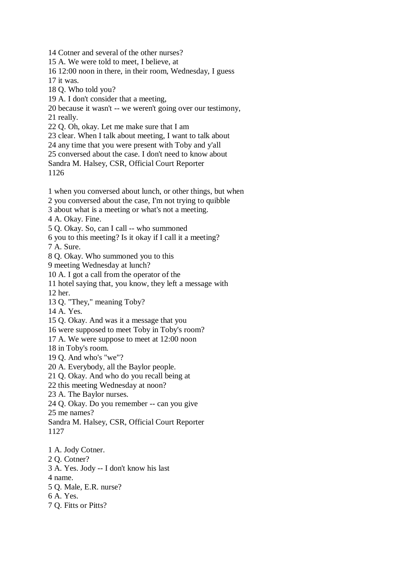- 14 Cotner and several of the other nurses?
- 15 A. We were told to meet, I believe, at
- 16 12:00 noon in there, in their room, Wednesday, I guess
- 17 it was.
- 18 Q. Who told you?
- 19 A. I don't consider that a meeting,
- 20 because it wasn't -- we weren't going over our testimony, 21 really.
- 22 Q. Oh, okay. Let me make sure that I am
- 23 clear. When I talk about meeting, I want to talk about
- 24 any time that you were present with Toby and y'all
- 25 conversed about the case. I don't need to know about
- Sandra M. Halsey, CSR, Official Court Reporter 1126
- 1 when you conversed about lunch, or other things, but when
- 2 you conversed about the case, I'm not trying to quibble
- 3 about what is a meeting or what's not a meeting.
- 4 A. Okay. Fine.
- 5 Q. Okay. So, can I call -- who summoned
- 6 you to this meeting? Is it okay if I call it a meeting?

7 A. Sure.

- 8 Q. Okay. Who summoned you to this
- 9 meeting Wednesday at lunch?
- 10 A. I got a call from the operator of the
- 11 hotel saying that, you know, they left a message with
- 12 her.
- 13 Q. "They," meaning Toby?
- 14 A. Yes.
- 15 Q. Okay. And was it a message that you
- 16 were supposed to meet Toby in Toby's room?
- 17 A. We were suppose to meet at 12:00 noon
- 18 in Toby's room.
- 19 Q. And who's "we"?
- 20 A. Everybody, all the Baylor people.
- 21 Q. Okay. And who do you recall being at
- 22 this meeting Wednesday at noon?
- 23 A. The Baylor nurses.
- 24 Q. Okay. Do you remember -- can you give

25 me names?

Sandra M. Halsey, CSR, Official Court Reporter 1127

- 1 A. Jody Cotner.
- 2 Q. Cotner?
- 3 A. Yes. Jody -- I don't know his last
- 4 name.
- 5 Q. Male, E.R. nurse?
- 6 A. Yes.
- 7 Q. Fitts or Pitts?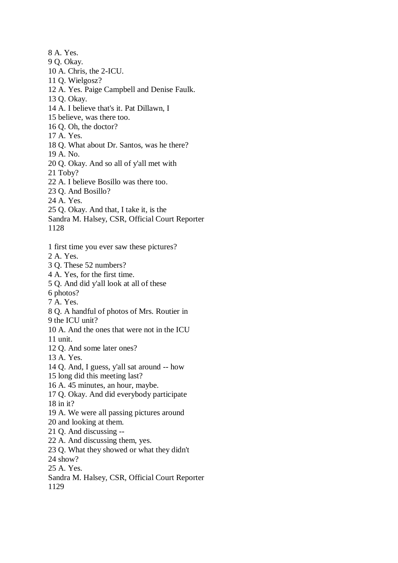- 8 A. Yes.
- 9 Q. Okay.
- 10 A. Chris, the 2-ICU.
- 11 Q. Wielgosz?
- 12 A. Yes. Paige Campbell and Denise Faulk.
- 13 Q. Okay.
- 14 A. I believe that's it. Pat Dillawn, I
- 15 believe, was there too.
- 16 Q. Oh, the doctor?
- 17 A. Yes.
- 18 Q. What about Dr. Santos, was he there?
- 19 A. No.
- 20 Q. Okay. And so all of y'all met with
- 21 Toby?
- 22 A. I believe Bosillo was there too.
- 23 Q. And Bosillo?
- 24 A. Yes.
- 25 Q. Okay. And that, I take it, is the
- Sandra M. Halsey, CSR, Official Court Reporter
- 1128
- 1 first time you ever saw these pictures?
- 2 A. Yes.
- 3 Q. These 52 numbers?
- 4 A. Yes, for the first time.
- 5 Q. And did y'all look at all of these
- 6 photos?
- 7 A. Yes.
- 8 Q. A handful of photos of Mrs. Routier in
- 9 the ICU unit?
- 10 A. And the ones that were not in the ICU 11 unit.
- 12 Q. And some later ones?
- 13 A. Yes.
- 14 Q. And, I guess, y'all sat around -- how
- 15 long did this meeting last?
- 16 A. 45 minutes, an hour, maybe.
- 17 Q. Okay. And did everybody participate
- 18 in it?
- 19 A. We were all passing pictures around
- 20 and looking at them.
- 21 Q. And discussing --
- 22 A. And discussing them, yes.
- 23 Q. What they showed or what they didn't
- 24 show?
- 25 A. Yes.
- Sandra M. Halsey, CSR, Official Court Reporter 1129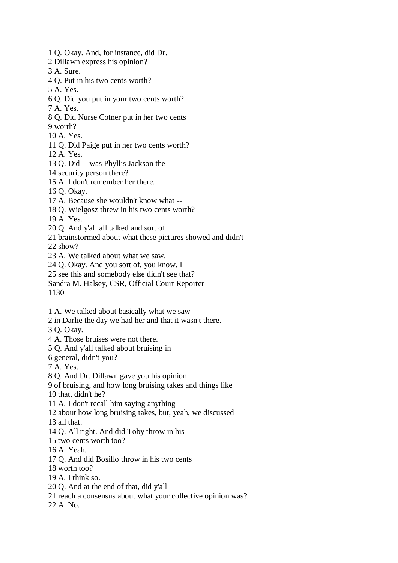1 Q. Okay. And, for instance, did Dr.

2 Dillawn express his opinion?

3 A. Sure.

4 Q. Put in his two cents worth?

5 A. Yes.

6 Q. Did you put in your two cents worth?

7 A. Yes.

8 Q. Did Nurse Cotner put in her two cents

9 worth?

10 A. Yes.

11 Q. Did Paige put in her two cents worth?

12 A. Yes.

13 Q. Did -- was Phyllis Jackson the

14 security person there?

15 A. I don't remember her there.

16 Q. Okay.

17 A. Because she wouldn't know what --

18 Q. Wielgosz threw in his two cents worth?

19 A. Yes.

20 Q. And y'all all talked and sort of

21 brainstormed about what these pictures showed and didn't

 $22$  show?

23 A. We talked about what we saw.

24 Q. Okay. And you sort of, you know, I

25 see this and somebody else didn't see that?

Sandra M. Halsey, CSR, Official Court Reporter

1130

1 A. We talked about basically what we saw

2 in Darlie the day we had her and that it wasn't there.

3 Q. Okay.

4 A. Those bruises were not there.

5 Q. And y'all talked about bruising in

6 general, didn't you?

7 A. Yes.

8 Q. And Dr. Dillawn gave you his opinion

9 of bruising, and how long bruising takes and things like 10 that, didn't he?

11 A. I don't recall him saying anything

12 about how long bruising takes, but, yeah, we discussed

13 all that.

14 Q. All right. And did Toby throw in his

15 two cents worth too?

16 A. Yeah.

17 Q. And did Bosillo throw in his two cents

18 worth too?

19 A. I think so.

20 Q. And at the end of that, did y'all

21 reach a consensus about what your collective opinion was?

22 A. No.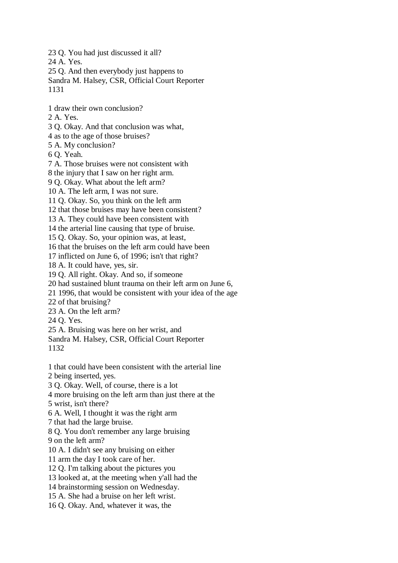23 Q. You had just discussed it all?

24 A. Yes.

25 Q. And then everybody just happens to

Sandra M. Halsey, CSR, Official Court Reporter 1131

1 draw their own conclusion?

2 A. Yes.

3 Q. Okay. And that conclusion was what,

4 as to the age of those bruises?

5 A. My conclusion?

6 Q. Yeah.

7 A. Those bruises were not consistent with

8 the injury that I saw on her right arm.

9 Q. Okay. What about the left arm?

10 A. The left arm, I was not sure.

11 Q. Okay. So, you think on the left arm

12 that those bruises may have been consistent?

13 A. They could have been consistent with

14 the arterial line causing that type of bruise.

15 Q. Okay. So, your opinion was, at least,

16 that the bruises on the left arm could have been

17 inflicted on June 6, of 1996; isn't that right?

18 A. It could have, yes, sir.

19 Q. All right. Okay. And so, if someone

20 had sustained blunt trauma on their left arm on June 6,

21 1996, that would be consistent with your idea of the age

22 of that bruising?

23 A. On the left arm?

24 Q. Yes.

25 A. Bruising was here on her wrist, and

Sandra M. Halsey, CSR, Official Court Reporter 1132

1 that could have been consistent with the arterial line

2 being inserted, yes.

3 Q. Okay. Well, of course, there is a lot

4 more bruising on the left arm than just there at the

5 wrist, isn't there?

6 A. Well, I thought it was the right arm

7 that had the large bruise.

8 Q. You don't remember any large bruising

9 on the left arm?

10 A. I didn't see any bruising on either

11 arm the day I took care of her.

12 Q. I'm talking about the pictures you

13 looked at, at the meeting when y'all had the

14 brainstorming session on Wednesday.

15 A. She had a bruise on her left wrist.

16 Q. Okay. And, whatever it was, the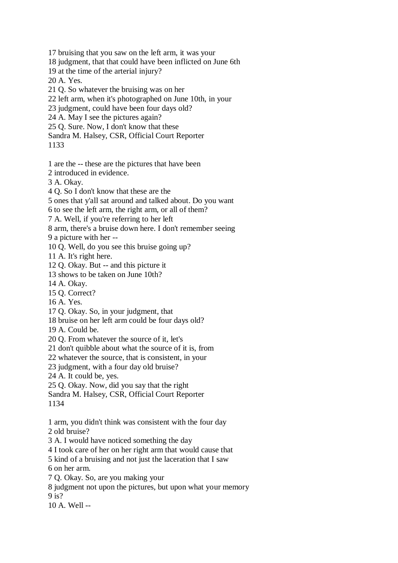17 bruising that you saw on the left arm, it was your 18 judgment, that that could have been inflicted on June 6th 19 at the time of the arterial injury? 20 A. Yes. 21 Q. So whatever the bruising was on her 22 left arm, when it's photographed on June 10th, in your 23 judgment, could have been four days old? 24 A. May I see the pictures again? 25 Q. Sure. Now, I don't know that these

Sandra M. Halsey, CSR, Official Court Reporter

1133

1 are the -- these are the pictures that have been

2 introduced in evidence.

3 A. Okay.

4 Q. So I don't know that these are the

5 ones that y'all sat around and talked about. Do you want

6 to see the left arm, the right arm, or all of them?

7 A. Well, if you're referring to her left

8 arm, there's a bruise down here. I don't remember seeing

9 a picture with her --

10 Q. Well, do you see this bruise going up?

11 A. It's right here.

12 Q. Okay. But -- and this picture it

13 shows to be taken on June 10th?

14 A. Okay.

15 Q. Correct?

16 A. Yes.

17 Q. Okay. So, in your judgment, that

18 bruise on her left arm could be four days old?

19 A. Could be.

20 Q. From whatever the source of it, let's

21 don't quibble about what the source of it is, from

22 whatever the source, that is consistent, in your

23 judgment, with a four day old bruise?

24 A. It could be, yes.

25 Q. Okay. Now, did you say that the right

Sandra M. Halsey, CSR, Official Court Reporter

1134

1 arm, you didn't think was consistent with the four day

2 old bruise?

3 A. I would have noticed something the day

4 I took care of her on her right arm that would cause that

5 kind of a bruising and not just the laceration that I saw

6 on her arm.

7 Q. Okay. So, are you making your

8 judgment not upon the pictures, but upon what your memory

 $9$  is?

10 A. Well --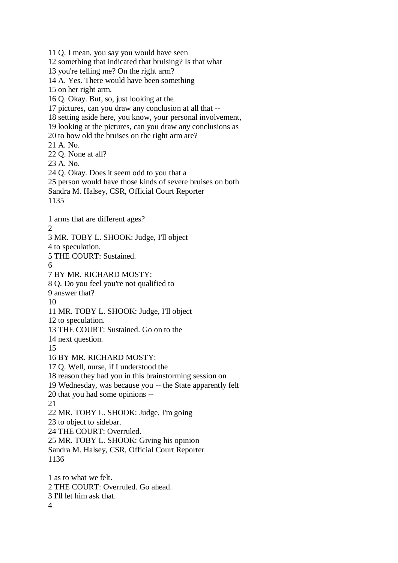11 Q. I mean, you say you would have seen 12 something that indicated that bruising? Is that what 13 you're telling me? On the right arm? 14 A. Yes. There would have been something 15 on her right arm. 16 Q. Okay. But, so, just looking at the 17 pictures, can you draw any conclusion at all that -- 18 setting aside here, you know, your personal involvement, 19 looking at the pictures, can you draw any conclusions as 20 to how old the bruises on the right arm are? 21 A. No. 22 Q. None at all? 23 A. No. 24 Q. Okay. Does it seem odd to you that a 25 person would have those kinds of severe bruises on both Sandra M. Halsey, CSR, Official Court Reporter 1135 1 arms that are different ages?  $\mathcal{D}_{\alpha}$ 3 MR. TOBY L. SHOOK: Judge, I'll object 4 to speculation. 5 THE COURT: Sustained. 6 7 BY MR. RICHARD MOSTY: 8 Q. Do you feel you're not qualified to 9 answer that? 10 11 MR. TOBY L. SHOOK: Judge, I'll object 12 to speculation. 13 THE COURT: Sustained. Go on to the 14 next question. 15 16 BY MR. RICHARD MOSTY: 17 Q. Well, nurse, if I understood the 18 reason they had you in this brainstorming session on 19 Wednesday, was because you -- the State apparently felt 20 that you had some opinions -- 21 22 MR. TOBY L. SHOOK: Judge, I'm going 23 to object to sidebar. 24 THE COURT: Overruled. 25 MR. TOBY L. SHOOK: Giving his opinion Sandra M. Halsey, CSR, Official Court Reporter 1136 1 as to what we felt. 2 THE COURT: Overruled. Go ahead. 3 I'll let him ask that.

4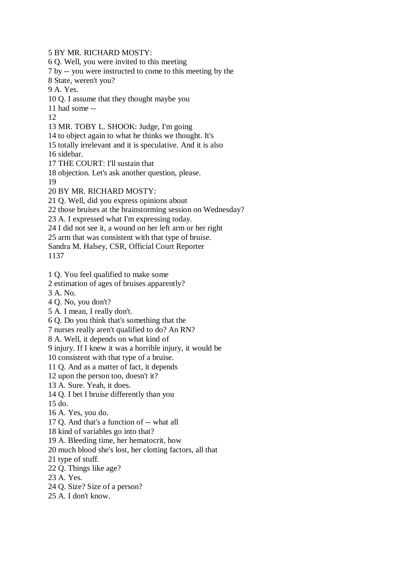5 BY MR. RICHARD MOSTY:

6 Q. Well, you were invited to this meeting

7 by -- you were instructed to come to this meeting by the

8 State, weren't you?

9 A. Yes.

10 Q. I assume that they thought maybe you

11 had some --

12

13 MR. TOBY L. SHOOK: Judge, I'm going

14 to object again to what he thinks we thought. It's

15 totally irrelevant and it is speculative. And it is also

16 sidebar.

17 THE COURT: I'll sustain that

18 objection. Let's ask another question, please.

19

20 BY MR. RICHARD MOSTY:

21 Q. Well, did you express opinions about

22 those bruises at the brainstorming session on Wednesday?

23 A. I expressed what I'm expressing today.

24 I did not see it, a wound on her left arm or her right

25 arm that was consistent with that type of bruise.

Sandra M. Halsey, CSR, Official Court Reporter

1137

1 Q. You feel qualified to make some

2 estimation of ages of bruises apparently?

3 A. No.

4 Q. No, you don't?

5 A. I mean, I really don't.

6 Q. Do you think that's something that the

7 nurses really aren't qualified to do? An RN?

8 A. Well, it depends on what kind of

9 injury. If I knew it was a horrible injury, it would be

10 consistent with that type of a bruise.

11 Q. And as a matter of fact, it depends

12 upon the person too, doesn't it?

13 A. Sure. Yeah, it does.

14 Q. I bet I bruise differently than you

15 do.

16 A. Yes, you do.

17 Q. And that's a function of -- what all

18 kind of variables go into that?

19 A. Bleeding time, her hematocrit, how

20 much blood she's lost, her clotting factors, all that

21 type of stuff.

22 Q. Things like age?

23 A. Yes.

24 Q. Size? Size of a person?

25 A. I don't know.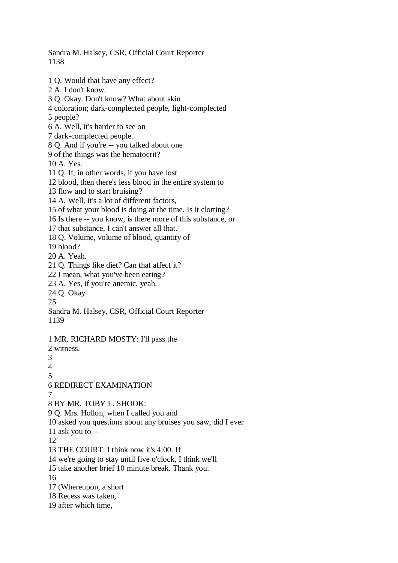Sandra M. Halsey, CSR, Official Court Reporter 1138

1 Q. Would that have any effect? 2 A. I don't know. 3 Q. Okay. Don't know? What about skin 4 coloration; dark-complected people, light-complected 5 people? 6 A. Well, it's harder to see on 7 dark-complected people. 8 Q. And if you're -- you talked about one 9 of the things was the hematocrit? 10 A. Yes. 11 Q. If, in other words, if you have lost 12 blood, then there's less blood in the entire system to 13 flow and to start bruising? 14 A. Well, it's a lot of different factors, 15 of what your blood is doing at the time. Is it clotting? 16 Is there -- you know, is there more of this substance, or 17 that substance, I can't answer all that. 18 Q. Volume, volume of blood, quantity of 19 blood? 20 A. Yeah. 21 Q. Things like diet? Can that affect it? 22 I mean, what you've been eating? 23 A. Yes, if you're anemic, yeah. 24 Q. Okay. 25 Sandra M. Halsey, CSR, Official Court Reporter 1139 1 MR. RICHARD MOSTY: I'll pass the 2 witness. 3 4 5 6 REDIRECT EXAMINATION 7 8 BY MR. TOBY L. SHOOK: 9 Q. Mrs. Hollon, when I called you and 10 asked you questions about any bruises you saw, did I ever 11 ask you to -- 12 13 THE COURT: I think now it's 4:00. If 14 we're going to stay until five o'clock, I think we'll 15 take another brief 10 minute break. Thank you. 16 17 (Whereupon, a short 18 Recess was taken, 19 after which time,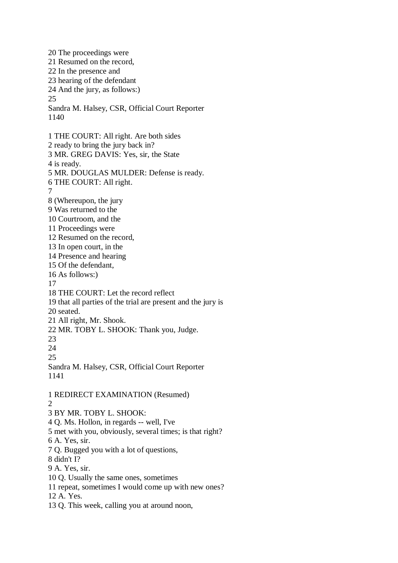20 The proceedings were 21 Resumed on the record, 22 In the presence and 23 hearing of the defendant 24 And the jury, as follows:) 25 Sandra M. Halsey, CSR, Official Court Reporter 1140 1 THE COURT: All right. Are both sides 2 ready to bring the jury back in? 3 MR. GREG DAVIS: Yes, sir, the State 4 is ready. 5 MR. DOUGLAS MULDER: Defense is ready. 6 THE COURT: All right. 7 8 (Whereupon, the jury 9 Was returned to the 10 Courtroom, and the 11 Proceedings were 12 Resumed on the record, 13 In open court, in the 14 Presence and hearing 15 Of the defendant, 16 As follows:) 17 18 THE COURT: Let the record reflect 19 that all parties of the trial are present and the jury is 20 seated. 21 All right, Mr. Shook. 22 MR. TOBY L. SHOOK: Thank you, Judge. 23 24 25 Sandra M. Halsey, CSR, Official Court Reporter 1141 1 REDIRECT EXAMINATION (Resumed)  $\mathcal{D}_{\mathcal{L}}$ 3 BY MR. TOBY L. SHOOK: 4 Q. Ms. Hollon, in regards -- well, I've 5 met with you, obviously, several times; is that right? 6 A. Yes, sir. 7 Q. Bugged you with a lot of questions, 8 didn't I? 9 A. Yes, sir. 10 Q. Usually the same ones, sometimes 11 repeat, sometimes I would come up with new ones? 12 A. Yes. 13 Q. This week, calling you at around noon,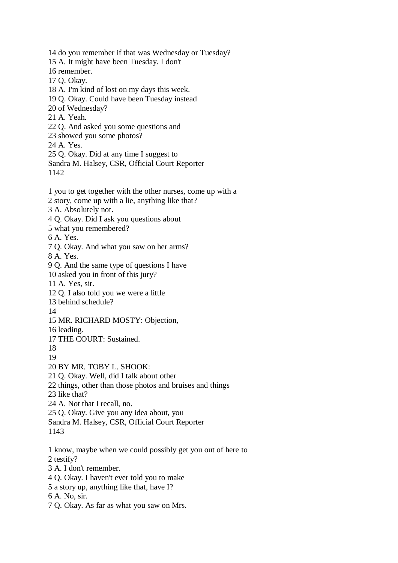15 A. It might have been Tuesday. I don't 16 remember. 17 Q. Okay. 18 A. I'm kind of lost on my days this week. 19 Q. Okay. Could have been Tuesday instead 20 of Wednesday? 21 A. Yeah. 22 Q. And asked you some questions and 23 showed you some photos? 24 A. Yes. 25 Q. Okay. Did at any time I suggest to Sandra M. Halsey, CSR, Official Court Reporter 1142 1 you to get together with the other nurses, come up with a 2 story, come up with a lie, anything like that? 3 A. Absolutely not. 4 Q. Okay. Did I ask you questions about 5 what you remembered? 6 A. Yes. 7 Q. Okay. And what you saw on her arms? 8 A. Yes. 9 Q. And the same type of questions I have 10 asked you in front of this jury? 11 A. Yes, sir. 12 Q. I also told you we were a little 13 behind schedule? 14 15 MR. RICHARD MOSTY: Objection, 16 leading. 17 THE COURT: Sustained. 18 19 20 BY MR. TOBY L. SHOOK: 21 Q. Okay. Well, did I talk about other 22 things, other than those photos and bruises and things 23 like that? 24 A. Not that I recall, no. 25 Q. Okay. Give you any idea about, you Sandra M. Halsey, CSR, Official Court Reporter 1143 1 know, maybe when we could possibly get you out of here to 2 testify? 3 A. I don't remember. 4 Q. Okay. I haven't ever told you to make 5 a story up, anything like that, have I? 6 A. No, sir. 7 Q. Okay. As far as what you saw on Mrs.

14 do you remember if that was Wednesday or Tuesday?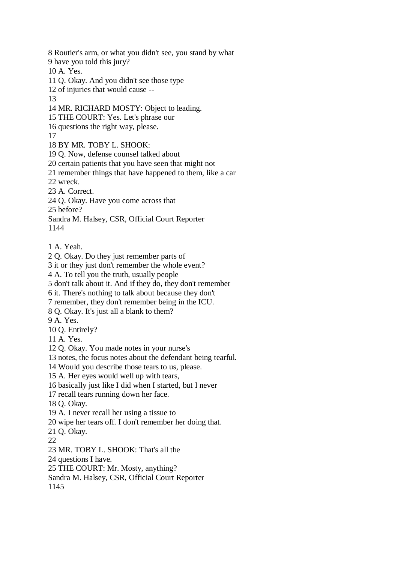8 Routier's arm, or what you didn't see, you stand by what

9 have you told this jury?

10 A. Yes.

11 Q. Okay. And you didn't see those type

12 of injuries that would cause --

13

14 MR. RICHARD MOSTY: Object to leading.

15 THE COURT: Yes. Let's phrase our

16 questions the right way, please.

17

18 BY MR. TOBY L. SHOOK:

19 Q. Now, defense counsel talked about

20 certain patients that you have seen that might not

21 remember things that have happened to them, like a car

22 wreck.

23 A. Correct.

24 Q. Okay. Have you come across that

25 before?

Sandra M. Halsey, CSR, Official Court Reporter 1144

1 A. Yeah.

2 Q. Okay. Do they just remember parts of

3 it or they just don't remember the whole event?

4 A. To tell you the truth, usually people

5 don't talk about it. And if they do, they don't remember

6 it. There's nothing to talk about because they don't

7 remember, they don't remember being in the ICU.

8 Q. Okay. It's just all a blank to them?

9 A. Yes.

10 Q. Entirely?

11 A. Yes.

12 Q. Okay. You made notes in your nurse's

13 notes, the focus notes about the defendant being tearful.

14 Would you describe those tears to us, please.

15 A. Her eyes would well up with tears,

16 basically just like I did when I started, but I never

17 recall tears running down her face.

18 Q. Okay.

19 A. I never recall her using a tissue to

20 wipe her tears off. I don't remember her doing that.

21 Q. Okay.

22

23 MR. TOBY L. SHOOK: That's all the

24 questions I have.

25 THE COURT: Mr. Mosty, anything?

Sandra M. Halsey, CSR, Official Court Reporter

1145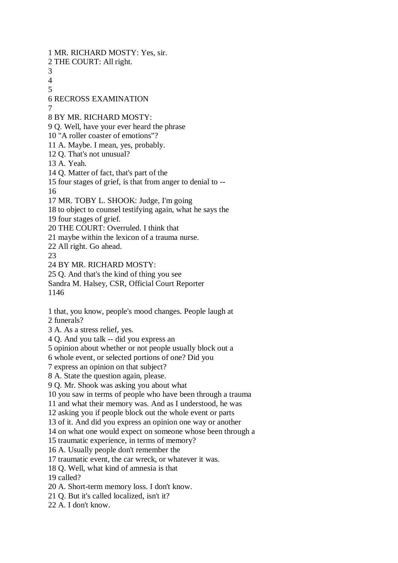1 MR. RICHARD MOSTY: Yes, sir. 2 THE COURT: All right. 3 4 5 6 RECROSS EXAMINATION 7 8 BY MR. RICHARD MOSTY: 9 Q. Well, have your ever heard the phrase 10 "A roller coaster of emotions"? 11 A. Maybe. I mean, yes, probably. 12 Q. That's not unusual? 13 A. Yeah. 14 Q. Matter of fact, that's part of the 15 four stages of grief, is that from anger to denial to -- 16 17 MR. TOBY L. SHOOK: Judge, I'm going 18 to object to counsel testifying again, what he says the 19 four stages of grief. 20 THE COURT: Overruled. I think that 21 maybe within the lexicon of a trauma nurse. 22 All right. Go ahead. 23 24 BY MR. RICHARD MOSTY: 25 Q. And that's the kind of thing you see Sandra M. Halsey, CSR, Official Court Reporter 1146 1 that, you know, people's mood changes. People laugh at 2 funerals? 3 A. As a stress relief, yes. 4 Q. And you talk -- did you express an 5 opinion about whether or not people usually block out a 6 whole event, or selected portions of one? Did you 7 express an opinion on that subject? 8 A. State the question again, please. 9 Q. Mr. Shook was asking you about what 10 you saw in terms of people who have been through a trauma 11 and what their memory was. And as I understood, he was 12 asking you if people block out the whole event or parts 13 of it. And did you express an opinion one way or another 14 on what one would expect on someone whose been through a 15 traumatic experience, in terms of memory? 16 A. Usually people don't remember the 17 traumatic event, the car wreck, or whatever it was. 18 Q. Well, what kind of amnesia is that 19 called? 20 A. Short-term memory loss. I don't know. 21 Q. But it's called localized, isn't it? 22 A. I don't know.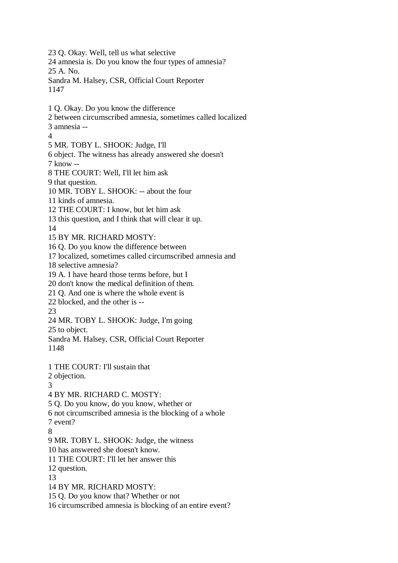23 Q. Okay. Well, tell us what selective 24 amnesia is. Do you know the four types of amnesia? 25 A. No. Sandra M. Halsey, CSR, Official Court Reporter 1147 1 Q. Okay. Do you know the difference 2 between circumscribed amnesia, sometimes called localized 3 amnesia -- 4 5 MR. TOBY L. SHOOK: Judge, I'll 6 object. The witness has already answered she doesn't 7 know -- 8 THE COURT: Well, I'll let him ask 9 that question. 10 MR. TOBY L. SHOOK: -- about the four 11 kinds of amnesia. 12 THE COURT: I know, but let him ask 13 this question, and I think that will clear it up. 14 15 BY MR. RICHARD MOSTY: 16 Q. Do you know the difference between 17 localized, sometimes called circumscribed amnesia and 18 selective amnesia? 19 A. I have heard those terms before, but I 20 don't know the medical definition of them. 21 Q. And one is where the whole event is 22 blocked, and the other is -- 23 24 MR. TOBY L. SHOOK: Judge, I'm going 25 to object. Sandra M. Halsey, CSR, Official Court Reporter 1148 1 THE COURT: I'll sustain that 2 objection. 3 4 BY MR. RICHARD C. MOSTY: 5 Q. Do you know, do you know, whether or 6 not circumscribed amnesia is the blocking of a whole 7 event? 8 9 MR. TOBY L. SHOOK: Judge, the witness 10 has answered she doesn't know. 11 THE COURT: I'll let her answer this 12 question. 13 14 BY MR. RICHARD MOSTY: 15 Q. Do you know that? Whether or not 16 circumscribed amnesia is blocking of an entire event?